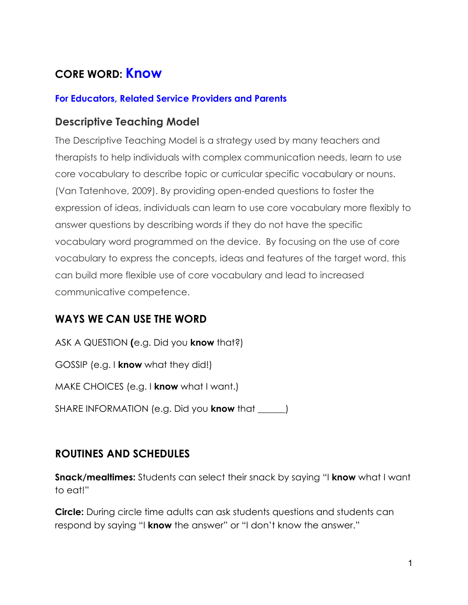# **CORE WORD: Know**

#### **For Educators, Related Service Providers and Parents**

#### **Descriptive Teaching Model**

The Descriptive Teaching Model is a strategy used by many teachers and therapists to help individuals with complex communication needs, learn to use core vocabulary to describe topic or curricular specific vocabulary or nouns. (Van Tatenhove, 2009). By providing open-ended questions to foster the expression of ideas, individuals can learn to use core vocabulary more flexibly to answer questions by describing words if they do not have the specific vocabulary word programmed on the device. By focusing on the use of core vocabulary to express the concepts, ideas and features of the target word, this can build more flexible use of core vocabulary and lead to increased communicative competence.

### **WAYS WE CAN USE THE WORD**

ASK A QUESTION **(**e.g. Did you **know** that?) GOSSIP (e.g. I **know** what they did!) MAKE CHOICES (e.g. I **know** what I want.) SHARE INFORMATION (e.g. Did you **know** that \_\_\_\_\_\_)

### **ROUTINES AND SCHEDULES**

**Snack/mealtimes:** Students can select their snack by saying "I **know** what I want to eat!"

**Circle:** During circle time adults can ask students questions and students can respond by saying "I **know** the answer" or "I don't know the answer."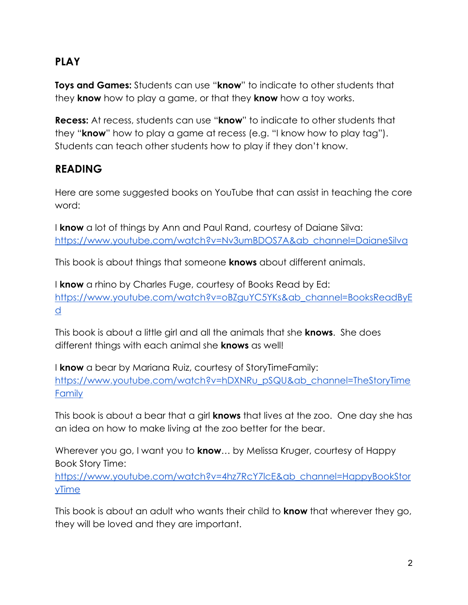### **PLAY**

**Toys and Games:** Students can use "**know**" to indicate to other students that they **know** how to play a game, or that they **know** how a toy works.

**Recess:** At recess, students can use "**know**" to indicate to other students that they "**know**" how to play a game at recess (e.g. "I know how to play tag"). Students can teach other students how to play if they don't know.

### **READING**

Here are some suggested books on YouTube that can assist in teaching the core word:

I **know** a lot of things by Ann and Paul Rand, courtesy of Daiane Silva: [https://www.youtube.com/watch?v=Nv3umBDOS7A&ab\\_channel=DaianeSilva](https://www.youtube.com/watch?v=Nv3umBDOS7A&ab_channel=DaianeSilva)

This book is about things that someone **knows** about different animals.

I **know** a rhino by Charles Fuge, courtesy of Books Read by Ed: [https://www.youtube.com/watch?v=oBZguYC5YKs&ab\\_channel=BooksReadByE](https://www.youtube.com/watch?v=oBZguYC5YKs&ab_channel=BooksReadByEd) [d](https://www.youtube.com/watch?v=oBZguYC5YKs&ab_channel=BooksReadByEd)

This book is about a little girl and all the animals that she **knows**. She does different things with each animal she **knows** as well!

I **know** a bear by Mariana Ruiz, courtesy of StoryTimeFamily: [https://www.youtube.com/watch?v=hDXNRu\\_pSQU&ab\\_channel=TheStoryTime](https://www.youtube.com/watch?v=hDXNRu_pSQU&ab_channel=TheStoryTimeFamily) [Family](https://www.youtube.com/watch?v=hDXNRu_pSQU&ab_channel=TheStoryTimeFamily)

This book is about a bear that a girl **knows** that lives at the zoo. One day she has an idea on how to make living at the zoo better for the bear.

Wherever you go, I want you to **know**… by Melissa Kruger, courtesy of Happy Book Story Time:

[https://www.youtube.com/watch?v=4hz7RcY7lcE&ab\\_channel=HappyBookStor](https://www.youtube.com/watch?v=4hz7RcY7lcE&ab_channel=HappyBookStoryTime) [yTime](https://www.youtube.com/watch?v=4hz7RcY7lcE&ab_channel=HappyBookStoryTime)

This book is about an adult who wants their child to **know** that wherever they go, they will be loved and they are important.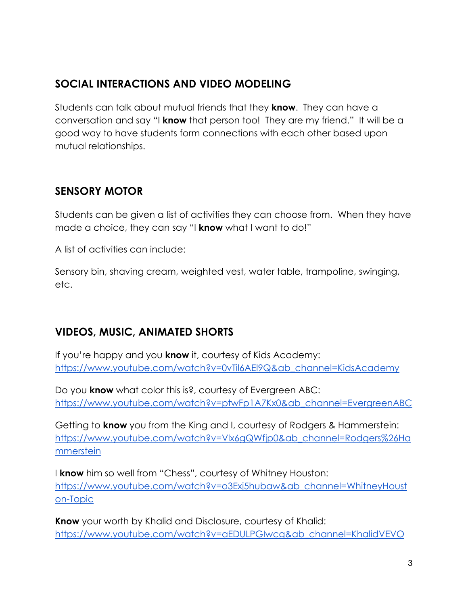### **SOCIAL INTERACTIONS AND VIDEO MODELING**

Students can talk about mutual friends that they **know**. They can have a conversation and say "I **know** that person too! They are my friend." It will be a good way to have students form connections with each other based upon mutual relationships.

### **SENSORY MOTOR**

Students can be given a list of activities they can choose from. When they have made a choice, they can say "I **know** what I want to do!"

A list of activities can include:

Sensory bin, shaving cream, weighted vest, water table, trampoline, swinging, etc.

### **VIDEOS, MUSIC, ANIMATED SHORTS**

If you're happy and you **know** it, courtesy of Kids Academy: [https://www.youtube.com/watch?v=0vTil6AEl9Q&ab\\_channel=KidsAcademy](https://www.youtube.com/watch?v=0vTil6AEl9Q&ab_channel=KidsAcademy)

Do you **know** what color this is?, courtesy of Evergreen ABC: [https://www.youtube.com/watch?v=ptwFp1A7Kx0&ab\\_channel=EvergreenABC](https://www.youtube.com/watch?v=ptwFp1A7Kx0&ab_channel=EvergreenABC)

Getting to **know** you from the King and I, courtesy of Rodgers & Hammerstein: [https://www.youtube.com/watch?v=Vlx6gQWfjp0&ab\\_channel=Rodgers%26Ha](https://www.youtube.com/watch?v=Vlx6gQWfjp0&ab_channel=Rodgers%26Hammerstein) [mmerstein](https://www.youtube.com/watch?v=Vlx6gQWfjp0&ab_channel=Rodgers%26Hammerstein)

I **know** him so well from "Chess", courtesy of Whitney Houston: [https://www.youtube.com/watch?v=o3Exj5hubaw&ab\\_channel=WhitneyHoust](https://www.youtube.com/watch?v=o3Exj5hubaw&ab_channel=WhitneyHouston-Topic) [on-Topic](https://www.youtube.com/watch?v=o3Exj5hubaw&ab_channel=WhitneyHouston-Topic)

**Know** your worth by Khalid and Disclosure, courtesy of Khalid: [https://www.youtube.com/watch?v=aEDULPGIwcg&ab\\_channel=KhalidVEVO](https://www.youtube.com/watch?v=aEDULPGIwcg&ab_channel=KhalidVEVO)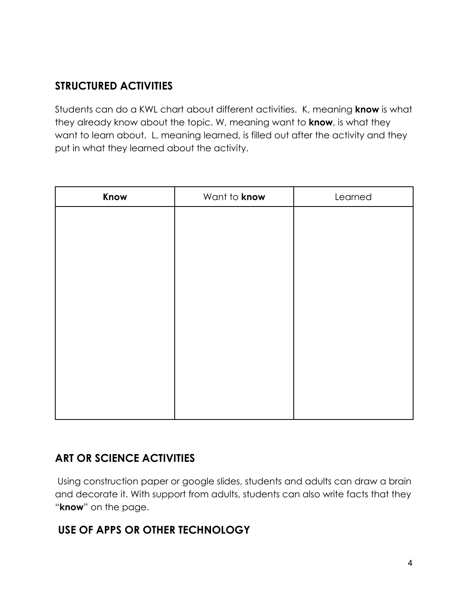### **STRUCTURED ACTIVITIES**

Students can do a KWL chart about different activities. K, meaning **know** is what they already know about the topic. W, meaning want to **know**, is what they want to learn about. L, meaning learned, is filled out after the activity and they put in what they learned about the activity.

| Know | Want to know | Learned |
|------|--------------|---------|
|      |              |         |
|      |              |         |
|      |              |         |
|      |              |         |
|      |              |         |
|      |              |         |
|      |              |         |
|      |              |         |
|      |              |         |
|      |              |         |
|      |              |         |

### **ART OR SCIENCE ACTIVITIES**

Using construction paper or google slides, students and adults can draw a brain and decorate it. With support from adults, students can also write facts that they "**know**" on the page.

### **USE OF APPS OR OTHER TECHNOLOGY**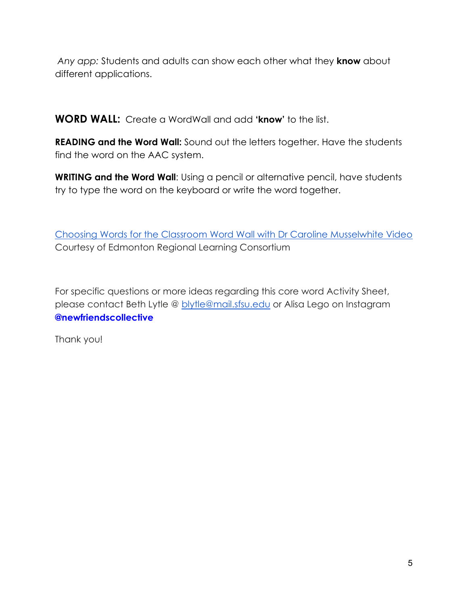*Any app:* Students and adults can show each other what they **know** about different applications.

**WORD WALL:** Create a WordWall and add **'know'** to the list.

**READING and the Word Wall:** Sound out the letters together. Have the students find the word on the AAC system.

**WRITING and the Word Wall**: Using a pencil or alternative pencil, have students try to type the word on the keyboard or write the word together.

[Choosing Words for the Classroom Word Wall with Dr Caroline Musselwhite Video](https://www.youtube.com/watch?v=gNaxrzVhWUY) Courtesy of Edmonton Regional Learning Consortium

For specific questions or more ideas regarding this core word Activity Sheet, please contact Beth Lytle @ [blytle@mail.sfsu.edu](mailto:blytle@mail.sfsu.edu) or Alisa Lego on Instagram **@newfriendscollective**

Thank you!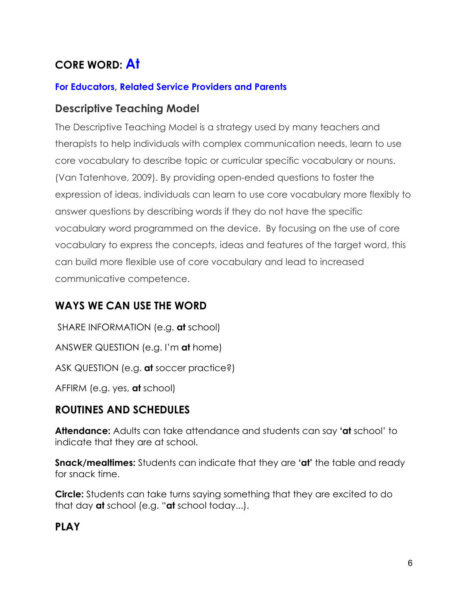# **CORE WORD: At**

#### **For Educators, Related Service Providers and Parents**

#### **Descriptive Teaching Model**

The Descriptive Teaching Model is a strategy used by many teachers and therapists to help individuals with complex communication needs, learn to use core vocabulary to describe topic or curricular specific vocabulary or nouns. (Van Tatenhove, 2009). By providing open-ended questions to foster the expression of ideas, individuals can learn to use core vocabulary more flexibly to answer questions by describing words if they do not have the specific vocabulary word programmed on the device. By focusing on the use of core vocabulary to express the concepts, ideas and features of the target word, this can build more flexible use of core vocabulary and lead to increased communicative competence.

### **WAYS WE CAN USE THE WORD**

SHARE INFORMATION (e.g. **at** school) ANSWER QUESTION (e.g. I'm **at** home) ASK QUESTION (e.g. **at** soccer practice?) AFFIRM (e.g. yes, **at** school)

### **ROUTINES AND SCHEDULES**

**Attendance:** Adults can take attendance and students can say **'at** school' to indicate that they are at school.

**Snack/mealtimes:** Students can indicate that they are 'at' the table and ready for snack time.

**Circle:** Students can take turns saying something that they are excited to do that day **at** school (e.g. "**at** school today...).

### **PLAY**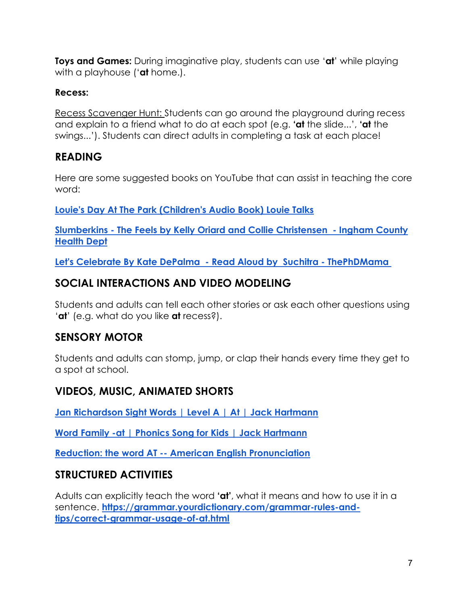**Toys and Games:** During imaginative play, students can use '**at**' while playing with a playhouse ('**at** home.).

#### **Recess:**

Recess Scavenger Hunt: Students can go around the playground during recess and explain to a friend what to do at each spot (e.g. **'at** the slide...', **'at** the swings...'). Students can direct adults in completing a task at each place!

### **READING**

Here are some suggested books on YouTube that can assist in teaching the core word:

**[Louie's Day At The Park \(Children's Audio Book\) Louie](https://www.youtube.com/watch?v=5t4BoWEggR8) Talks**

**Slumberkins - [The Feels by Kelly Oriard and Collie Christensen](https://www.youtube.com/watch?v=FOdyu5WTP5k) - Ingham County [Health Dept](https://www.youtube.com/watch?v=FOdyu5WTP5k)**

**[Let's Celebrate By Kate DePalma](https://www.youtube.com/watch?v=dTLNHW3ZqE8) - Read Aloud by Suchitra - ThePhDMama**

### **SOCIAL INTERACTIONS AND VIDEO MODELING**

Students and adults can tell each other stories or ask each other questions using '**at**' (e.g. what do you like **at** recess?).

### **SENSORY MOTOR**

Students and adults can stomp, jump, or clap their hands every time they get to a spot at school.

### **VIDEOS, MUSIC, ANIMATED SHORTS**

**[Jan Richardson Sight Words | Level A | At | Jack Hartmann](https://youtu.be/Y1Ug8NZRl_w)**

**[Word Family -at | Phonics Song for Kids | Jack Hartmann](https://youtu.be/DkUunCjP3Hs)**

**Reduction: the word AT -- [American English Pronunciation](https://youtu.be/f7vuNqnHgZo)**

#### **STRUCTURED ACTIVITIES**

Adults can explicitly teach the word **'at'**, what it means and how to use it in a sentence. **[https://grammar.yourdictionary.com/grammar-rules-and](https://grammar.yourdictionary.com/grammar-rules-and-tips/correct-grammar-usage-of-at.html)[tips/correct-grammar-usage-of-at.html](https://grammar.yourdictionary.com/grammar-rules-and-tips/correct-grammar-usage-of-at.html)**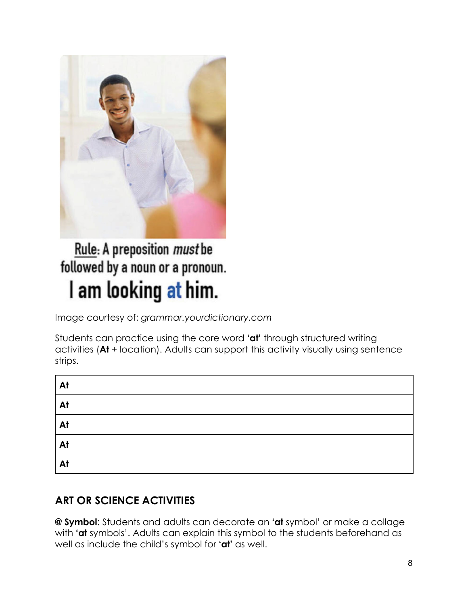

# Rule: A preposition must be followed by a noun or a pronoun. I am looking at him.

Image courtesy of: *grammar.yourdictionary.com*

Students can practice using the core word **'at'** through structured writing activities (**At** + location). Adults can support this activity visually using sentence strips.

| At             |  |
|----------------|--|
| $\overline{A}$ |  |
| At             |  |
| At             |  |
| $\overline{A}$ |  |

### **ART OR SCIENCE ACTIVITIES**

**@ Symbol**: Students and adults can decorate an **'at** symbol' or make a collage with **'at** symbols'. Adults can explain this symbol to the students beforehand as well as include the child's symbol for **'at'** as well.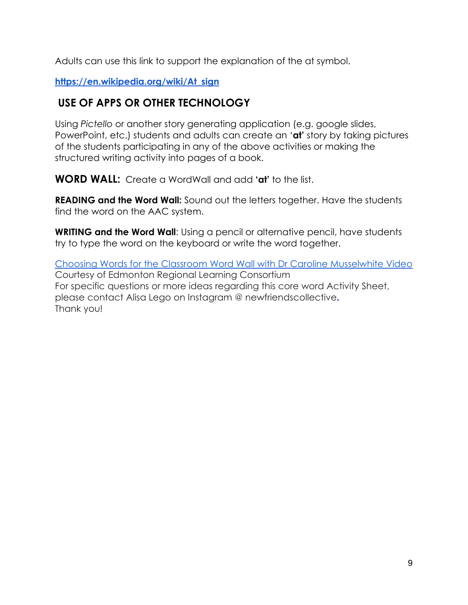Adults can use this link to support the explanation of the at symbol.

**[https://en.wikipedia.org/wiki/At\\_sign](https://en.wikipedia.org/wiki/At_sign)**

### **USE OF APPS OR OTHER TECHNOLOGY**

Using *Pictello* or another story generating application (e.g. google slides, PowerPoint, etc.) students and adults can create an '**at'** story by taking pictures of the students participating in any of the above activities or making the structured writing activity into pages of a book.

**WORD WALL:** Create a WordWall and add **'at'** to the list.

**READING and the Word Wall:** Sound out the letters together. Have the students find the word on the AAC system.

**WRITING and the Word Wall**: Using a pencil or alternative pencil, have students try to type the word on the keyboard or write the word together.

[Choosing Words for the Classroom Word Wall with Dr Caroline Musselwhite Video](https://www.youtube.com/watch?v=gNaxrzVhWUY) Courtesy of Edmonton Regional Learning Consortium For specific questions or more ideas regarding this core word Activity Sheet, please contact Alisa Lego on Instagram @ newfriendscollective**.** Thank you!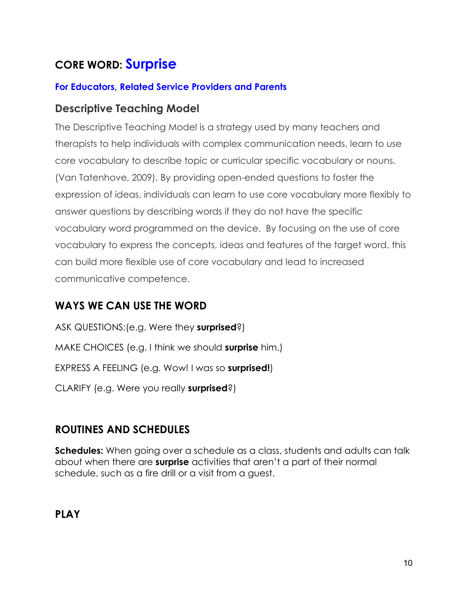# **CORE WORD: Surprise**

#### **For Educators, Related Service Providers and Parents**

#### **Descriptive Teaching Model**

The Descriptive Teaching Model is a strategy used by many teachers and therapists to help individuals with complex communication needs, learn to use core vocabulary to describe topic or curricular specific vocabulary or nouns. (Van Tatenhove, 2009). By providing open-ended questions to foster the expression of ideas, individuals can learn to use core vocabulary more flexibly to answer questions by describing words if they do not have the specific vocabulary word programmed on the device. By focusing on the use of core vocabulary to express the concepts, ideas and features of the target word, this can build more flexible use of core vocabulary and lead to increased communicative competence.

### **WAYS WE CAN USE THE WORD**

ASK QUESTIONS:(e.g. Were they **surprised**?) MAKE CHOICES (e.g. I think we should **surprise** him.) EXPRESS A FEELING (e.g. Wow! I was so **surprised!**) CLARIFY (e.g. Were you really **surprised**?)

### **ROUTINES AND SCHEDULES**

**Schedules:** When going over a schedule as a class, students and adults can talk about when there are **surprise** activities that aren't a part of their normal schedule, such as a fire drill or a visit from a guest.

**PLAY**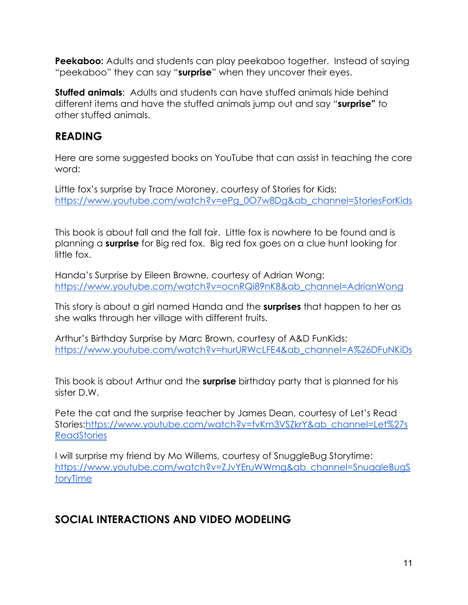**Peekaboo:** Adults and students can play peekaboo together. Instead of saying "peekaboo" they can say "**surprise**" when they uncover their eyes.

**Stuffed animals**: Adults and students can have stuffed animals hide behind different items and have the stuffed animals jump out and say "**surprise"** to other stuffed animals.

### **READING**

Here are some suggested books on YouTube that can assist in teaching the core word:

Little fox's surprise by Trace Moroney, courtesy of Stories for Kids: [https://www.youtube.com/watch?v=ePg\\_0O7w8Dg&ab\\_channel=StoriesForKids](https://www.youtube.com/watch?v=ePg_0O7w8Dg&ab_channel=StoriesForKids)

This book is about fall and the fall fair. Little fox is nowhere to be found and is planning a **surprise** for Big red fox. Big red fox goes on a clue hunt looking for little fox.

Handa's Surprise by Eileen Browne, courtesy of Adrian Wong: [https://www.youtube.com/watch?v=ocnRQi89nK8&ab\\_channel=AdrianWong](https://www.youtube.com/watch?v=ocnRQi89nK8&ab_channel=AdrianWong)

This story is about a girl named Handa and the **surprises** that happen to her as she walks through her village with different fruits.

Arthur's Birthday Surprise by Marc Brown, courtesy of A&D FunKids: [https://www.youtube.com/watch?v=hurURWcLFE4&ab\\_channel=A%26DFuNKiDs](https://www.youtube.com/watch?v=hurURWcLFE4&ab_channel=A%26DFuNKiDs)

This book is about Arthur and the **surprise** birthday party that is planned for his sister D.W.

Pete the cat and the surprise teacher by James Dean, courtesy of Let's Read Stories[:https://www.youtube.com/watch?v=fvKm3VSZkrY&ab\\_channel=Let%27s](https://www.youtube.com/watch?v=fvKm3VSZkrY&ab_channel=Let%27sReadStories) **[ReadStories](https://www.youtube.com/watch?v=fvKm3VSZkrY&ab_channel=Let%27sReadStories)** 

I will surprise my friend by Mo Willems, courtesy of SnuggleBug Storytime: [https://www.youtube.com/watch?v=ZJvYEruWWmg&ab\\_channel=SnuggleBugS](https://www.youtube.com/watch?v=ZJvYEruWWmg&ab_channel=SnuggleBugStoryTime) [toryTime](https://www.youtube.com/watch?v=ZJvYEruWWmg&ab_channel=SnuggleBugStoryTime)

### **SOCIAL INTERACTIONS AND VIDEO MODELING**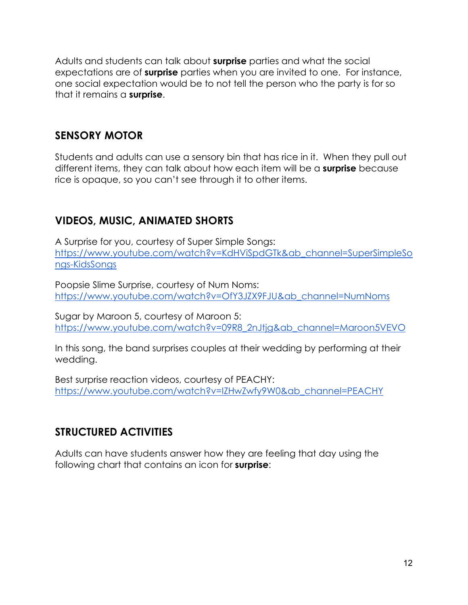Adults and students can talk about **surprise** parties and what the social expectations are of **surprise** parties when you are invited to one. For instance, one social expectation would be to not tell the person who the party is for so that it remains a **surprise**.

### **SENSORY MOTOR**

Students and adults can use a sensory bin that has rice in it. When they pull out different items, they can talk about how each item will be a **surprise** because rice is opaque, so you can't see through it to other items.

### **VIDEOS, MUSIC, ANIMATED SHORTS**

A Surprise for you, courtesy of Super Simple Songs: [https://www.youtube.com/watch?v=KdHViSpdGTk&ab\\_channel=SuperSimpleSo](https://www.youtube.com/watch?v=KdHViSpdGTk&ab_channel=SuperSimpleSongs-KidsSongs) [ngs-KidsSongs](https://www.youtube.com/watch?v=KdHViSpdGTk&ab_channel=SuperSimpleSongs-KidsSongs)

Poopsie Slime Surprise, courtesy of Num Noms: [https://www.youtube.com/watch?v=OfY3JZX9FJU&ab\\_channel=NumNoms](https://www.youtube.com/watch?v=OfY3JZX9FJU&ab_channel=NumNoms)

Sugar by Maroon 5, courtesy of Maroon 5: [https://www.youtube.com/watch?v=09R8\\_2nJtjg&ab\\_channel=Maroon5VEVO](https://www.youtube.com/watch?v=09R8_2nJtjg&ab_channel=Maroon5VEVO)

In this song, the band surprises couples at their wedding by performing at their wedding.

Best surprise reaction videos, courtesy of PEACHY: [https://www.youtube.com/watch?v=IZHwZwfy9W0&ab\\_channel=PEACHY](https://www.youtube.com/watch?v=IZHwZwfy9W0&ab_channel=PEACHY) 

### **STRUCTURED ACTIVITIES**

Adults can have students answer how they are feeling that day using the following chart that contains an icon for **surprise**: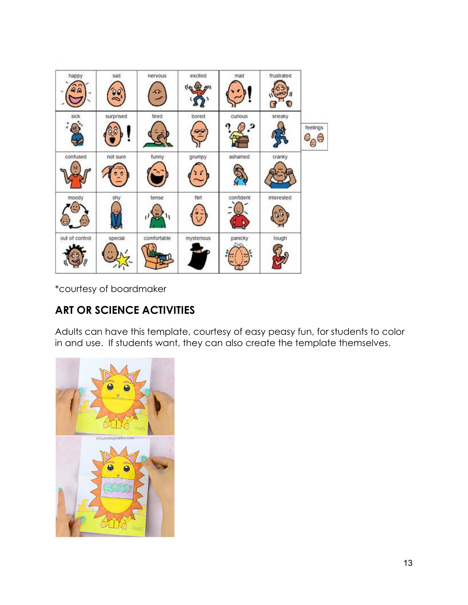| happy          | sad       | nervous<br>62<br>not | excited    | mad       | frustrated |                          |
|----------------|-----------|----------------------|------------|-----------|------------|--------------------------|
| sick           | surprised | tired                | bored<br>Ě | curious   | sneaky     | feelings<br>÷,<br>S<br>θ |
| confused       | not sure  | funny                | grumpy     | ashamed   | cranky     |                          |
| moody          | sty       | tense                | flirt      | confident | interested |                          |
| out of control | special   | comfortable          | mysterious | panicky   | tough      |                          |

\*courtesy of boardmaker

### **ART OR SCIENCE ACTIVITIES**

Adults can have this template, courtesy of easy peasy fun, for students to color in and use. If students want, they can also create the template themselves.

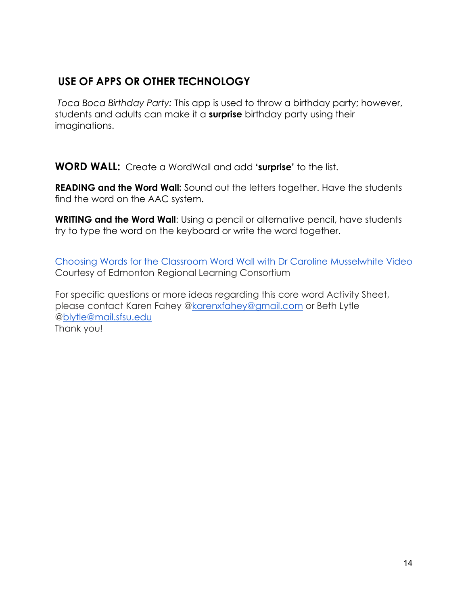### **USE OF APPS OR OTHER TECHNOLOGY**

*Toca Boca Birthday Party:* This app is used to throw a birthday party; however, students and adults can make it a **surprise** birthday party using their imaginations.

**WORD WALL:** Create a WordWall and add **'surprise'** to the list.

**READING and the Word Wall:** Sound out the letters together. Have the students find the word on the AAC system.

**WRITING and the Word Wall:** Using a pencil or alternative pencil, have students try to type the word on the keyboard or write the word together.

[Choosing Words for the Classroom Word Wall with Dr Caroline Musselwhite Video](https://www.youtube.com/watch?v=gNaxrzVhWUY) Courtesy of Edmonton Regional Learning Consortium

For specific questions or more ideas regarding this core word Activity Sheet, please contact Karen Fahey [@karenxfahey@gmail.com](mailto:karenxfahey@gmail.com) or Beth Lytle [@blytle@mail.sfsu.edu](mailto:blytle@mail.sfsu.edu) Thank you!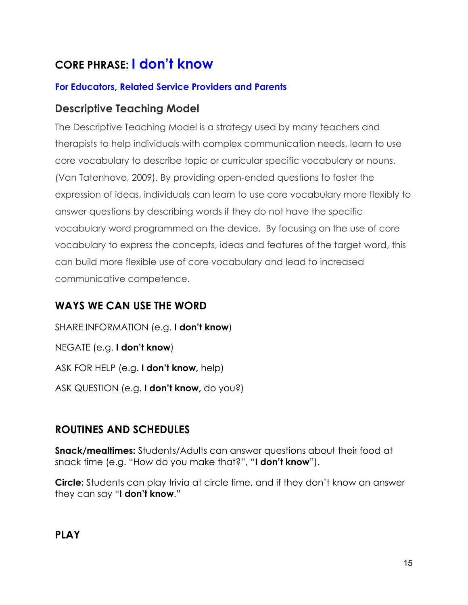# **CORE PHRASE: I don't know**

#### **For Educators, Related Service Providers and Parents**

#### **Descriptive Teaching Model**

The Descriptive Teaching Model is a strategy used by many teachers and therapists to help individuals with complex communication needs, learn to use core vocabulary to describe topic or curricular specific vocabulary or nouns. (Van Tatenhove, 2009). By providing open-ended questions to foster the expression of ideas, individuals can learn to use core vocabulary more flexibly to answer questions by describing words if they do not have the specific vocabulary word programmed on the device. By focusing on the use of core vocabulary to express the concepts, ideas and features of the target word, this can build more flexible use of core vocabulary and lead to increased communicative competence.

### **WAYS WE CAN USE THE WORD**

SHARE INFORMATION (e.g. **I don't know**) NEGATE (e.g. **I don't know**) ASK FOR HELP (e.g. **I don't know,** help) ASK QUESTION (e.g. **I don't know,** do you?)

### **ROUTINES AND SCHEDULES**

**Snack/mealtimes:** Students/Adults can answer questions about their food at snack time (e.g. "How do you make that?", "**I don't know**").

**Circle:** Students can play trivia at circle time, and if they don't know an answer they can say "**I don't know**."

### **PLAY**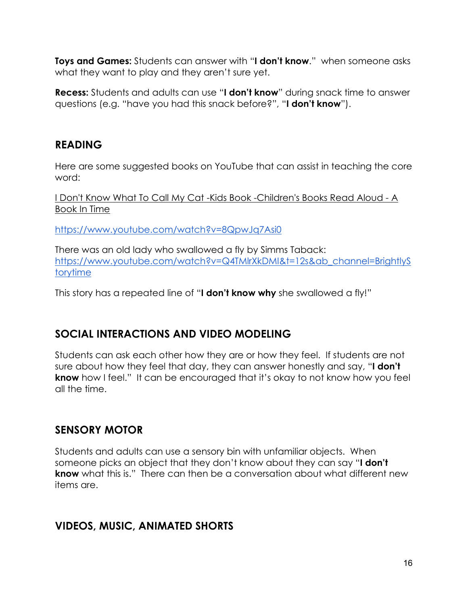**Toys and Games:** Students can answer with "**I don't know**." when someone asks what they want to play and they aren't sure yet.

**Recess:** Students and adults can use "**I don't know**" during snack time to answer questions (e.g. "have you had this snack before?", "**I don't know**").

### **READING**

Here are some suggested books on YouTube that can assist in teaching the core word:

[I Don't Know What To Call My Cat -Kids Book -Children's Books Read Aloud -](https://www.youtube.com/watch?v=8QpwJq7Asi0) A [Book In Time](https://www.youtube.com/watch?v=8QpwJq7Asi0)

<https://www.youtube.com/watch?v=8QpwJq7Asi0>

There was an old lady who swallowed a fly by Simms Taback: [https://www.youtube.com/watch?v=Q4TMlrXkDMI&t=12s&ab\\_channel=BrightlyS](https://www.youtube.com/watch?v=Q4TMlrXkDMI&t=12s&ab_channel=BrightlyStorytime) [torytime](https://www.youtube.com/watch?v=Q4TMlrXkDMI&t=12s&ab_channel=BrightlyStorytime)

This story has a repeated line of "**I don't know why** she swallowed a fly!"

### **SOCIAL INTERACTIONS AND VIDEO MODELING**

Students can ask each other how they are or how they feel. If students are not sure about how they feel that day, they can answer honestly and say, "**I don't know** how I feel." It can be encouraged that it's okay to not know how you feel all the time.

### **SENSORY MOTOR**

Students and adults can use a sensory bin with unfamiliar objects. When someone picks an object that they don't know about they can say "**I don't know** what this is." There can then be a conversation about what different new items are.

### **VIDEOS, MUSIC, ANIMATED SHORTS**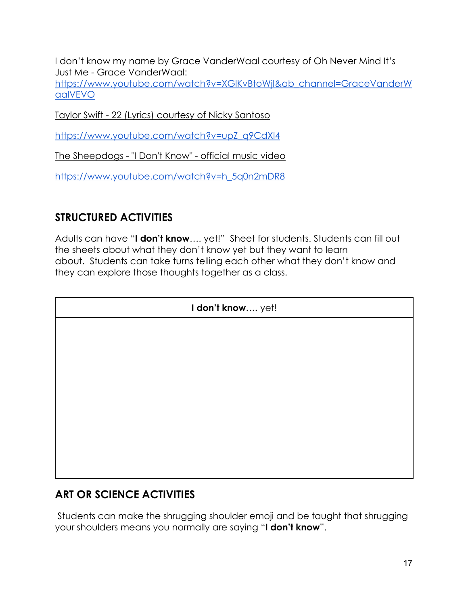I don't know my name by Grace VanderWaal courtesy of Oh Never Mind It's Just Me - Grace VanderWaal:

[https://www.youtube.com/watch?v=XGlKvBtoWjI&ab\\_channel=GraceVanderW](https://www.youtube.com/watch?v=XGlKvBtoWjI&ab_channel=GraceVanderWaalVEVO) [aalVEVO](https://www.youtube.com/watch?v=XGlKvBtoWjI&ab_channel=GraceVanderWaalVEVO)

Taylor Swift - [22 \(Lyrics\) courtesy of Nicky](https://www.youtube.com/watch?v=upZ_q9CdXl4) Santoso

[https://www.youtube.com/watch?v=upZ\\_q9CdXl4](https://www.youtube.com/watch?v=upZ_q9CdXl4)

The Sheepdogs - "I Don't Know" - [official music video](https://www.youtube.com/watch?v=h_5q0n2mDR8)

https://www.youtube.com/watch?v=h\_5q0n2mDR8

### **STRUCTURED ACTIVITIES**

Adults can have "**I don't know**…. yet!" Sheet for students. Students can fill out the sheets about what they don't know yet but they want to learn about. Students can take turns telling each other what they don't know and they can explore those thoughts together as a class.

| I don't know yet! |  |  |  |
|-------------------|--|--|--|
|                   |  |  |  |
|                   |  |  |  |
|                   |  |  |  |
|                   |  |  |  |
|                   |  |  |  |
|                   |  |  |  |
|                   |  |  |  |
|                   |  |  |  |

### **ART OR SCIENCE ACTIVITIES**

Students can make the shrugging shoulder emoji and be taught that shrugging your shoulders means you normally are saying "**I don't know**".